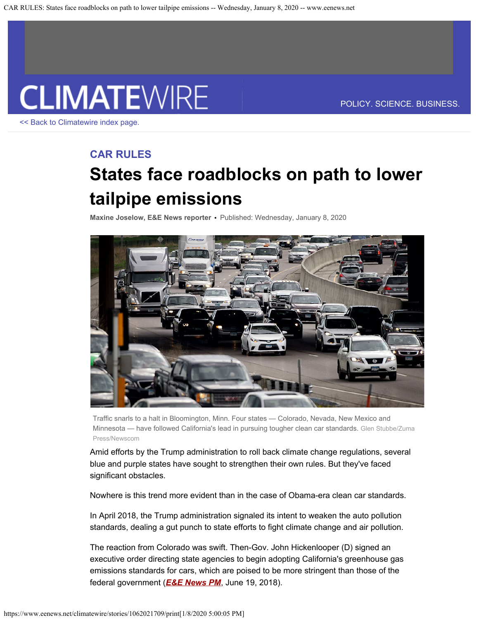

<< Back to Climatewire index page.

POLICY. SCIENCE. BUSINESS.

# **CAR RULES**

# **States face roadblocks on path to lower tailpipe emissions**

**Maxine Joselow, E&E News reporter •** Published: Wednesday, January 8, 2020



Traffic snarls to a halt in Bloomington, Minn. Four states — Colorado, Nevada, New Mexico and Minnesota — have followed California's lead in pursuing tougher clean car standards. Glen Stubbe/Zuma Press/Newscom

Amid efforts by the Trump administration to roll back climate change regulations, several blue and purple states have sought to strengthen their own rules. But they've faced significant obstacles.

Nowhere is this trend more evident than in the case of Obama-era clean car standards.

In April 2018, the Trump administration signaled its intent to weaken the auto pollution standards, dealing a gut punch to state efforts to fight climate change and air pollution.

The reaction from Colorado was swift. Then-Gov. John Hickenlooper (D) signed an executive order directing state agencies to begin adopting California's greenhouse gas emissions standards for cars, which are poised to be more stringent than those of the federal government (*E&E News PM*, June 19, 2018).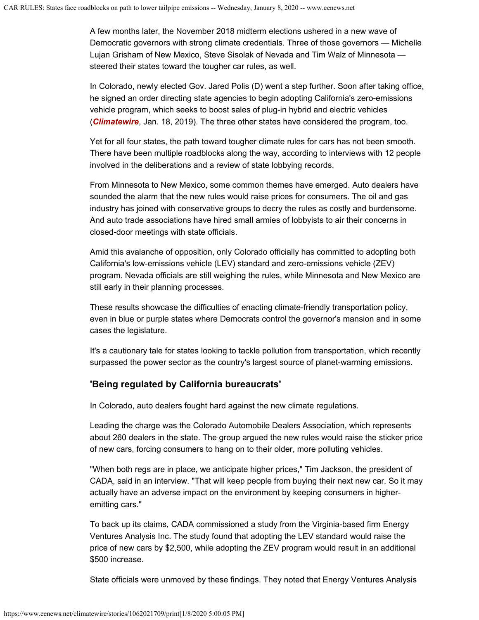A few months later, the November 2018 midterm elections ushered in a new wave of Democratic governors with strong climate credentials. Three of those governors — Michelle Lujan Grisham of New Mexico, Steve Sisolak of Nevada and Tim Walz of Minnesota steered their states toward the tougher car rules, as well.

In Colorado, newly elected Gov. Jared Polis (D) went a step further. Soon after taking office, he signed an order directing state agencies to begin adopting California's zero-emissions vehicle program, which seeks to boost sales of plug-in hybrid and electric vehicles (*Climatewire*, Jan. 18, 2019). The three other states have considered the program, too.

Yet for all four states, the path toward tougher climate rules for cars has not been smooth. There have been multiple roadblocks along the way, according to interviews with 12 people involved in the deliberations and a review of state lobbying records.

From Minnesota to New Mexico, some common themes have emerged. Auto dealers have sounded the alarm that the new rules would raise prices for consumers. The oil and gas industry has joined with conservative groups to decry the rules as costly and burdensome. And auto trade associations have hired small armies of lobbyists to air their concerns in closed-door meetings with state officials.

Amid this avalanche of opposition, only Colorado officially has committed to adopting both California's low-emissions vehicle (LEV) standard and zero-emissions vehicle (ZEV) program. Nevada officials are still weighing the rules, while Minnesota and New Mexico are still early in their planning processes.

These results showcase the difficulties of enacting climate-friendly transportation policy, even in blue or purple states where Democrats control the governor's mansion and in some cases the legislature.

It's a cautionary tale for states looking to tackle pollution from transportation, which recently surpassed the power sector as the country's largest source of planet-warming emissions.

## **'Being regulated by California bureaucrats'**

In Colorado, auto dealers fought hard against the new climate regulations.

Leading the charge was the Colorado Automobile Dealers Association, which represents about 260 dealers in the state. The group argued the new rules would raise the sticker price of new cars, forcing consumers to hang on to their older, more polluting vehicles.

"When both regs are in place, we anticipate higher prices," Tim Jackson, the president of CADA, said in an interview. "That will keep people from buying their next new car. So it may actually have an adverse impact on the environment by keeping consumers in higheremitting cars."

To back up its claims, CADA commissioned a study from the Virginia-based firm Energy Ventures Analysis Inc. The study found that adopting the LEV standard would raise the price of new cars by \$2,500, while adopting the ZEV program would result in an additional \$500 increase.

State officials were unmoved by these findings. They noted that Energy Ventures Analysis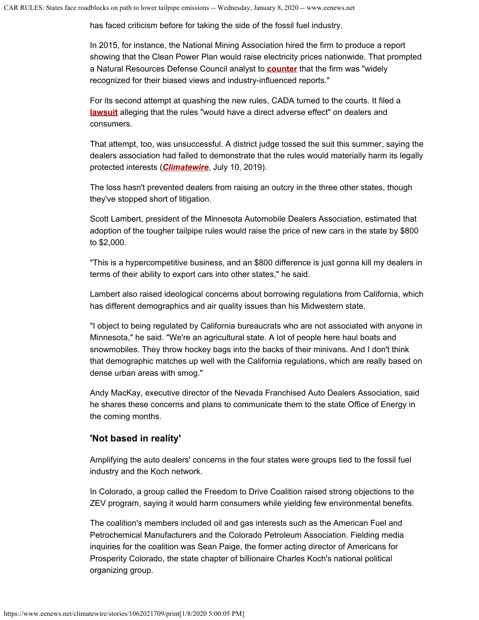has faced criticism before for taking the side of the fossil fuel industry.

In 2015, for instance, the National Mining Association hired the firm to produce a report showing that the Clean Power Plan would raise electricity prices nationwide. That prompted a Natural Resources Defense Council analyst to **counter** that the firm was "widely recognized for their biased views and industry-influenced reports."

For its second attempt at quashing the new rules, CADA turned to the courts. It filed a **lawsuit** alleging that the rules "would have a direct adverse effect" on dealers and consumers.

That attempt, too, was unsuccessful. A district judge tossed the suit this summer, saying the dealers association had failed to demonstrate that the rules would materially harm its legally protected interests (*Climatewire*, July 10, 2019).

The loss hasn't prevented dealers from raising an outcry in the three other states, though they've stopped short of litigation.

Scott Lambert, president of the Minnesota Automobile Dealers Association, estimated that adoption of the tougher tailpipe rules would raise the price of new cars in the state by \$800 to \$2,000.

"This is a hypercompetitive business, and an \$800 difference is just gonna kill my dealers in terms of their ability to export cars into other states," he said.

Lambert also raised ideological concerns about borrowing regulations from California, which has different demographics and air quality issues than his Midwestern state.

"I object to being regulated by California bureaucrats who are not associated with anyone in Minnesota," he said. "We're an agricultural state. A lot of people here haul boats and snowmobiles. They throw hockey bags into the backs of their minivans. And I don't think that demographic matches up well with the California regulations, which are really based on dense urban areas with smog."

Andy MacKay, executive director of the Nevada Franchised Auto Dealers Association, said he shares these concerns and plans to communicate them to the state Office of Energy in the coming months.

#### **'Not based in reality'**

Amplifying the auto dealers' concerns in the four states were groups tied to the fossil fuel industry and the Koch network.

In Colorado, a group called the Freedom to Drive Coalition raised strong objections to the ZEV program, saying it would harm consumers while yielding few environmental benefits.

The coalition's members included oil and gas interests such as the American Fuel and Petrochemical Manufacturers and the Colorado Petroleum Association. Fielding media inquiries for the coalition was Sean Paige, the former acting director of Americans for Prosperity Colorado, the state chapter of billionaire Charles Koch's national political organizing group.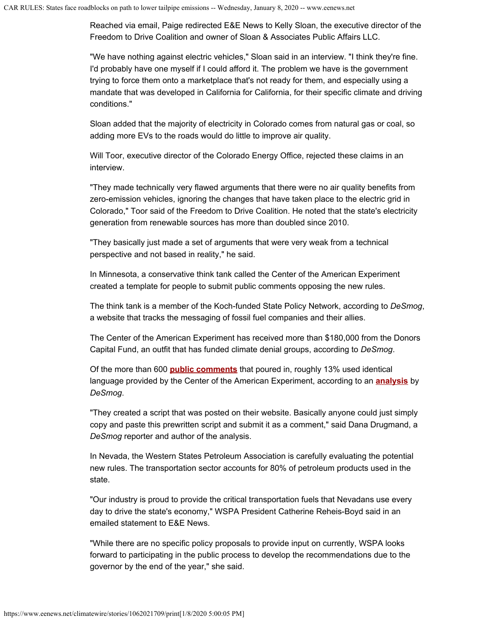Reached via email, Paige redirected E&E News to Kelly Sloan, the executive director of the Freedom to Drive Coalition and owner of Sloan & Associates Public Affairs LLC.

"We have nothing against electric vehicles," Sloan said in an interview. "I think they're fine. I'd probably have one myself if I could afford it. The problem we have is the government trying to force them onto a marketplace that's not ready for them, and especially using a mandate that was developed in California for California, for their specific climate and driving conditions."

Sloan added that the majority of electricity in Colorado comes from natural gas or coal, so adding more EVs to the roads would do little to improve air quality.

Will Toor, executive director of the Colorado Energy Office, rejected these claims in an interview.

"They made technically very flawed arguments that there were no air quality benefits from zero-emission vehicles, ignoring the changes that have taken place to the electric grid in Colorado," Toor said of the Freedom to Drive Coalition. He noted that the state's electricity generation from renewable sources has more than doubled since 2010.

"They basically just made a set of arguments that were very weak from a technical perspective and not based in reality," he said.

In Minnesota, a conservative think tank called the Center of the American Experiment created a template for people to submit public comments opposing the new rules.

The think tank is a member of the Koch-funded State Policy Network, according to *DeSmog*, a website that tracks the messaging of fossil fuel companies and their allies.

The Center of the American Experiment has received more than \$180,000 from the Donors Capital Fund, an outfit that has funded climate denial groups, according to *DeSmog*.

Of the more than 600 **public comments** that poured in, roughly 13% used identical language provided by the Center of the American Experiment, according to an **analysis** by *DeSmog*.

"They created a script that was posted on their website. Basically anyone could just simply copy and paste this prewritten script and submit it as a comment," said Dana Drugmand, a *DeSmog* reporter and author of the analysis.

In Nevada, the Western States Petroleum Association is carefully evaluating the potential new rules. The transportation sector accounts for 80% of petroleum products used in the state.

"Our industry is proud to provide the critical transportation fuels that Nevadans use every day to drive the state's economy," WSPA President Catherine Reheis-Boyd said in an emailed statement to E&E News.

"While there are no specific policy proposals to provide input on currently, WSPA looks forward to participating in the public process to develop the recommendations due to the governor by the end of the year," she said.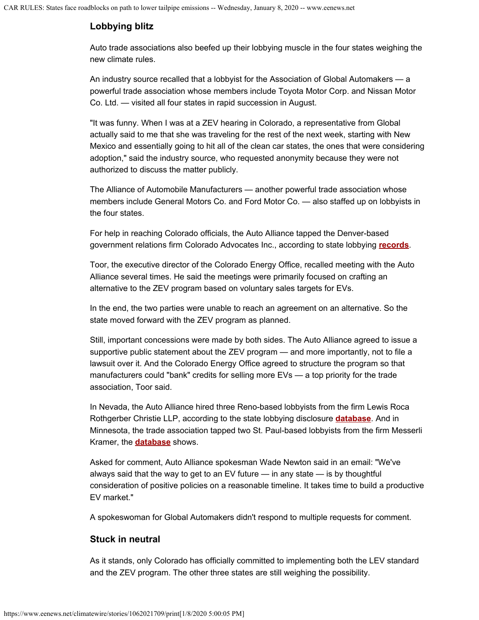# **Lobbying blitz**

Auto trade associations also beefed up their lobbying muscle in the four states weighing the new climate rules.

An industry source recalled that a lobbyist for the Association of Global Automakers — a powerful trade association whose members include Toyota Motor Corp. and Nissan Motor Co. Ltd. — visited all four states in rapid succession in August.

"It was funny. When I was at a ZEV hearing in Colorado, a representative from Global actually said to me that she was traveling for the rest of the next week, starting with New Mexico and essentially going to hit all of the clean car states, the ones that were considering adoption," said the industry source, who requested anonymity because they were not authorized to discuss the matter publicly.

The Alliance of Automobile Manufacturers — another powerful trade association whose members include General Motors Co. and Ford Motor Co. — also staffed up on lobbyists in the four states.

For help in reaching Colorado officials, the Auto Alliance tapped the Denver-based government relations firm Colorado Advocates Inc., according to state lobbying **records**.

Toor, the executive director of the Colorado Energy Office, recalled meeting with the Auto Alliance several times. He said the meetings were primarily focused on crafting an alternative to the ZEV program based on voluntary sales targets for EVs.

In the end, the two parties were unable to reach an agreement on an alternative. So the state moved forward with the ZEV program as planned.

Still, important concessions were made by both sides. The Auto Alliance agreed to issue a supportive public statement about the ZEV program — and more importantly, not to file a lawsuit over it. And the Colorado Energy Office agreed to structure the program so that manufacturers could "bank" credits for selling more EVs — a top priority for the trade association, Toor said.

In Nevada, the Auto Alliance hired three Reno-based lobbyists from the firm Lewis Roca Rothgerber Christie LLP, according to the state lobbying disclosure **database**. And in Minnesota, the trade association tapped two St. Paul-based lobbyists from the firm Messerli Kramer, the **database** shows.

Asked for comment, Auto Alliance spokesman Wade Newton said in an email: "We've always said that the way to get to an EV future — in any state — is by thoughtful consideration of positive policies on a reasonable timeline. It takes time to build a productive EV market."

A spokeswoman for Global Automakers didn't respond to multiple requests for comment.

## **Stuck in neutral**

As it stands, only Colorado has officially committed to implementing both the LEV standard and the ZEV program. The other three states are still weighing the possibility.